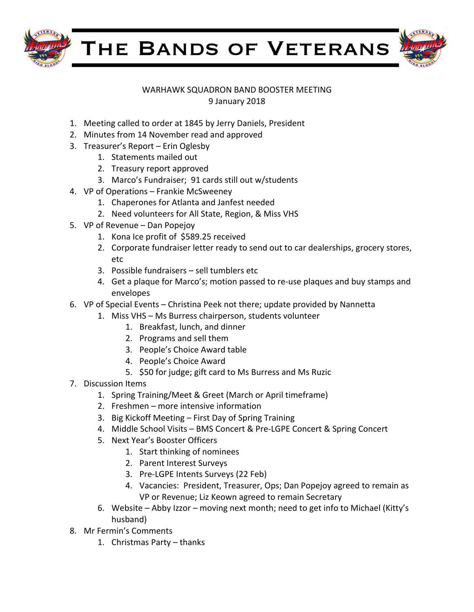

THE BANDS OF VETERANS



## WARHAWK SQUADRON BAND BOOSTER MEETING 9 January 2018

- 1. Meeting called to order at 1845 by Jerry Daniels, President
- 2. Minutes from 14 November read and approved
- 3. Treasurer's Report Erin Oglesby
	- 1. Statements mailed out
	- 2. Treasury report approved
	- 3. Marco's Fundraiser; 91 cards still out w/students
- 4. VP of Operations Frankie McSweeney
	- 1. Chaperones for Atlanta and Janfest needed
	- 2. Need volunteers for All State, Region, & Miss VHS
- 5. VP of Revenue Dan Popejoy
	- 1. Kona Ice profit of \$589.25 received
	- 2. Corporate fundraiser letter ready to send out to car dealerships, grocery stores, etc
	- 3. Possible fundraisers  $-$  sell tumblers etc
	- 4. Get a plaque for Marco's; motion passed to re-use plaques and buy stamps and envelopes
- 6. VP of Special Events Christina Peek not there; update provided by Nannetta
	- 1. Miss VHS Ms Burress chairperson, students volunteer
		- 1. Breakfast, lunch, and dinner
		- 2. Programs and sell them
		- 3. People's Choice Award table
		- 4. People's Choice Award
		- 5. \$50 for judge; gift card to Ms Burress and Ms Ruzic
- 7. Discussion Items
	- 1. Spring Training/Meet & Greet (March or April timeframe)
	- 2. Freshmen  $-$  more intensive information
	- 3. Big Kickoff Meeting First Day of Spring Training
	- 4. Middle School Visits BMS Concert & Pre-LGPE Concert & Spring Concert
	- 5. Next Year's Booster Officers
		- 1. Start thinking of nominees
		- 2. Parent Interest Surveys
		- 3. Pre-LGPE Intents Surveys (22 Feb)
		- 4. Vacancies: President, Treasurer, Ops; Dan Popejoy agreed to remain as VP or Revenue; Liz Keown agreed to remain Secretary
	- 6. Website Abby Izzor moving next month; need to get info to Michael (Kitty's husband)
- 8. Mr Fermin's Comments
	- 1. Christmas Party  $-$  thanks